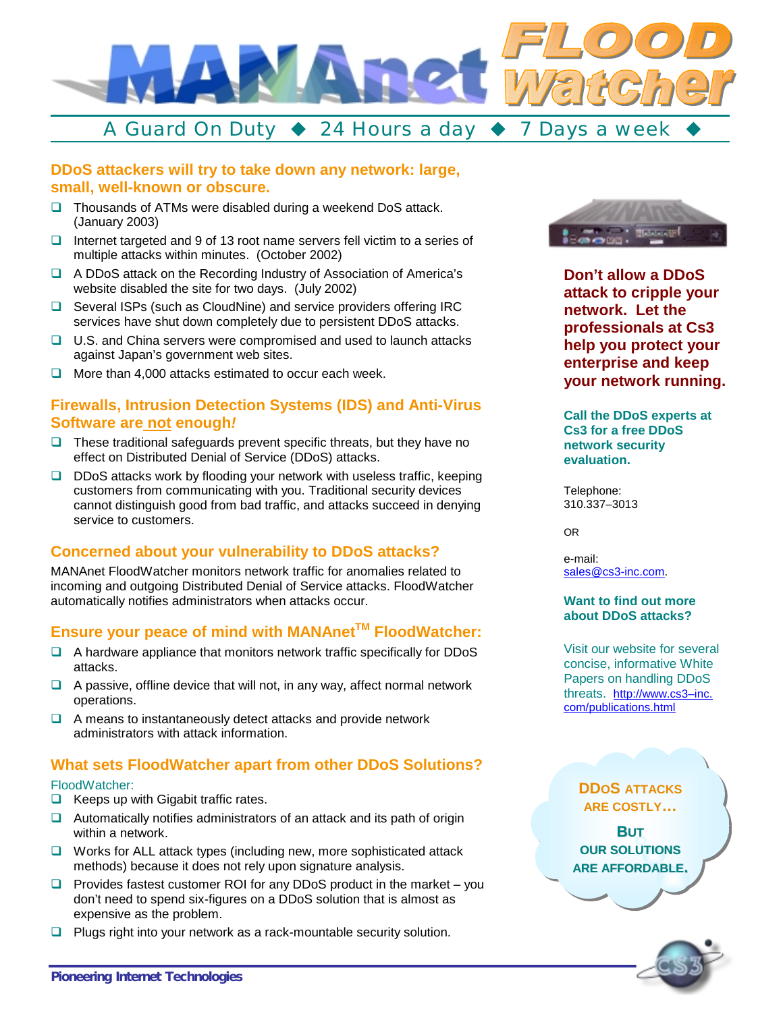

# **DDoS attackers will try to take down any network: large,**

## **small, well-known or obscure.**

- $\Box$  Thousands of ATMs were disabled during a weekend DoS attack. (January 2003)
- $\Box$  Internet targeted and 9 of 13 root name servers fell victim to a series of multiple attacks within minutes. (October 2002)
- □ A DDoS attack on the Recording Industry of Association of America's website disabled the site for two days. (July 2002)
- $\Box$  Several ISPs (such as CloudNine) and service providers offering IRC services have shut down completely due to persistent DDoS attacks.
- $\Box$  U.S. and China servers were compromised and used to launch attacks against Japan's government web sites.
- $\Box$  More than 4,000 attacks estimated to occur each week.

#### **Firewalls, Intrusion Detection Systems (IDS) and Anti-Virus Software are not enough***!*

- $\Box$  These traditional safeguards prevent specific threats, but they have no effect on Distributed Denial of Service (DDoS) attacks.
- $\Box$  DDoS attacks work by flooding your network with useless traffic, keeping customers from communicating with you. Traditional security devices cannot distinguish good from bad traffic, and attacks succeed in denying service to customers.

#### **Concerned about your vulnerability to DDoS attacks?**

MANAnet FloodWatcher monitors network traffic for anomalies related to incoming and outgoing Distributed Denial of Service attacks. FloodWatcher automatically notifies administrators when attacks occur.

## **Ensure your peace of mind with MANAnet™ FloodWatcher:**

- $\Box$  A hardware appliance that monitors network traffic specifically for DDoS attacks.
- $\Box$  A passive, offline device that will not, in any way, affect normal network operations.
- $\Box$  A means to instantaneously detect attacks and provide network administrators with attack information.

#### **What sets FloodWatcher apart from other DDoS Solutions?**

#### FloodWatcher:

- $\Box$  Keeps up with Gigabit traffic rates.
- $\Box$  Automatically notifies administrators of an attack and its path of origin within a network.
- $\Box$  Works for ALL attack types (including new, more sophisticated attack methods) because it does not rely upon signature analysis.
- $\Box$  Provides fastest customer ROI for any DDoS product in the market you don't need to spend six-figures on a DDoS solution that is almost as expensive as the problem.
- $\Box$  Plugs right into your network as a rack-mountable security solution.



**Don't allow a DDoS attack to cripple your network. Let the professionals at Cs3 help you protect your enterprise and keep your network running.** 

**Call the DDoS experts at Cs3 for a free DDoS network security evaluation.** 

Telephone: 310.337–3013

OR

e-mail: [sales@cs3-inc.com.](mailto:sales@cs3-inc.com) 

#### **Want to find out more about DDoS attacks?**

Visit our website for several concise, informative White Papers on handling DDoS [threats. http://www.cs3–inc.](http://www.cs3-inc.com/publications.html)  com/publications.html

#### **DDOS ATTACKS ARE COSTLY…**

**BUT OUR SOLUTIONS ARE AFFORDABLE.**